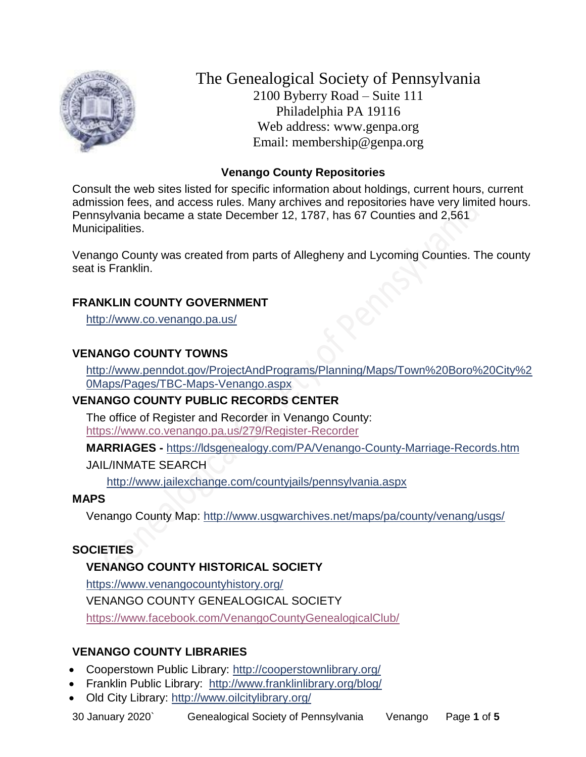

The Genealogical Society of Pennsylvania 2100 Byberry Road – Suite 111 Philadelphia PA 19116 Web address: www.genpa.org Email: membership@genpa.org

## **Venango County Repositories**

Consult the web sites listed for specific information about holdings, current hours, current admission fees, and access rules. Many archives and repositories have very limited hours. Pennsylvania became a state December 12, 1787, has 67 Counties and 2,561 Municipalities.

Venango County was created from parts of Allegheny and Lycoming Counties. The county seat is Franklin.

# **FRANKLIN COUNTY GOVERNMENT**

<http://www.co.venango.pa.us/>

# **VENANGO COUNTY TOWNS**

[http://www.penndot.gov/ProjectAndPrograms/Planning/Maps/Town%20Boro%20City%2](http://www.penndot.gov/ProjectAndPrograms/Planning/Maps/Town%20Boro%20City%20Maps/Pages/TBC-Maps-Venango.aspx) [0Maps/Pages/TBC-Maps-Venango.aspx](http://www.penndot.gov/ProjectAndPrograms/Planning/Maps/Town%20Boro%20City%20Maps/Pages/TBC-Maps-Venango.aspx)

# **VENANGO COUNTY PUBLIC RECORDS CENTER**

The office of Register and Recorder in Venango County: <https://www.co.venango.pa.us/279/Register-Recorder>

**MARRIAGES -** <https://ldsgenealogy.com/PA/Venango-County-Marriage-Records.htm>

JAIL/INMATE SEARCH

<http://www.jailexchange.com/countyjails/pennsylvania.aspx>

## **MAPS**

Venango County Map:<http://www.usgwarchives.net/maps/pa/county/venang/usgs/>

## **SOCIETIES**

# **VENANGO COUNTY HISTORICAL SOCIETY**

<https://www.venangocountyhistory.org/>

VENANGO COUNTY GENEALOGICAL SOCIETY

<https://www.facebook.com/VenangoCountyGenealogicalClub/>

# **VENANGO COUNTY LIBRARIES**

- Cooperstown Public Library:<http://cooperstownlibrary.org/>
- Franklin Public Library: <http://www.franklinlibrary.org/blog/>
- Old City Library:<http://www.oilcitylibrary.org/>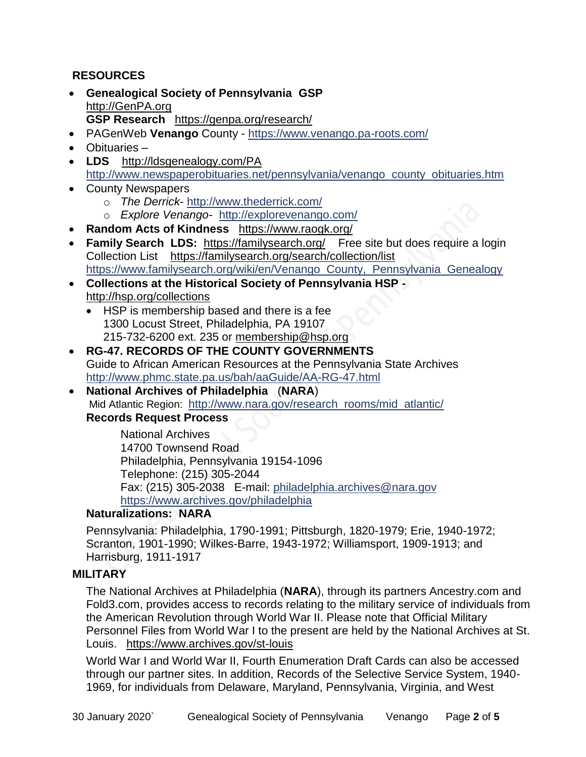# **RESOURCES**

- **Genealogical Society of Pennsylvania GSP** [http://GenPA.org](http://genpa.org/) **GSP Research** <https://genpa.org/research/>
- PAGenWeb **Venango** County <https://www.venango.pa-roots.com/>
- Obituaries –
- **LDS** <http://ldsgenealogy.com/PA> [http://www.newspaperobituaries.net/pennsylvania/venango\\_county\\_obituaries.htm](http://www.newspaperobituaries.net/pennsylvania/venango_county_obituaries.htm)
- County Newspapers
	- o *The Derrick* <http://www.thederrick.com/>
	- o *Explore Venango* <http://explorevenango.com/>
- **Random Acts of Kindness** <https://www.raogk.org/>
- **Family Search LDS:** <https://familysearch.org/>Free site but does require a login Collection List <https://familysearch.org/search/collection/list> [https://www.familysearch.org/wiki/en/Venango\\_County,\\_Pennsylvania\\_Genealogy](https://www.familysearch.org/wiki/en/Venango_County,_Pennsylvania_Genealogy)
- **Collections at the Historical Society of Pennsylvania HSP**  <http://hsp.org/collections>
	- HSP is membership based and there is a fee 1300 Locust Street, Philadelphia, PA 19107 215-732-6200 ext. 235 or [membership@hsp.org](mailto:membership@hsp.org)
- **RG-47. RECORDS OF THE COUNTY GOVERNMENTS** Guide to African American Resources at the Pennsylvania State Archives <http://www.phmc.state.pa.us/bah/aaGuide/AA-RG-47.html>
- **National Archives of Philadelphia** (**NARA**) Mid Atlantic Region: [http://www.nara.gov/research\\_rooms/mid\\_atlantic/](http://www.nara.gov/research_rooms/mid_atlantic/) **Records Request Process**

National Archives 14700 Townsend Road Philadelphia, Pennsylvania 19154-1096 Telephone: (215) 305-2044 Fax: (215) 305-2038 E-mail: [philadelphia.archives@nara.gov](mailto:philadelphia.archives@nara.gov) <https://www.archives.gov/philadelphia>

## **Naturalizations: NARA**

Pennsylvania: Philadelphia, 1790-1991; Pittsburgh, 1820-1979; Erie, 1940-1972; Scranton, 1901-1990; Wilkes-Barre, 1943-1972; Williamsport, 1909-1913; and Harrisburg, 1911-1917

## **MILITARY**

The National Archives at Philadelphia (**NARA**), through its partners Ancestry.com and Fold3.com, provides access to records relating to the military service of individuals from the American Revolution through World War II. Please note that Official Military Personnel Files from World War I to the present are held by the National Archives at St. Louis. <https://www.archives.gov/st-louis>

World War I and World War II, Fourth Enumeration Draft Cards can also be accessed through our partner sites. In addition, Records of the Selective Service System, 1940- 1969, for individuals from Delaware, Maryland, Pennsylvania, Virginia, and West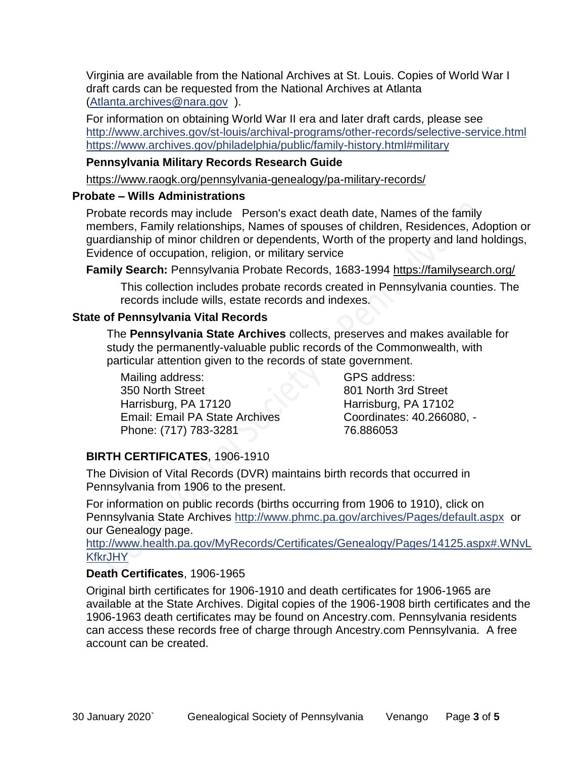Virginia are available from the National Archives at St. Louis. Copies of World War I draft cards can be requested from the National Archives at Atlanta [\(Atlanta.archives@nara.gov](mailto:Atlanta.archives@nara.gov) ).

For information on obtaining World War II era and later draft cards, please see <http://www.archives.gov/st-louis/archival-programs/other-records/selective-service.html> <https://www.archives.gov/philadelphia/public/family-history.html#military>

## **Pennsylvania Military Records Research Guide**

<https://www.raogk.org/pennsylvania-genealogy/pa-military-records/>

## **Probate – Wills Administrations**

Probate records may include Person's exact death date, Names of the family members, Family relationships, Names of spouses of children, Residences, Adoption or guardianship of minor children or dependents, Worth of the property and land holdings, Evidence of occupation, religion, or military service

**Family Search:** Pennsylvania Probate Records, 1683-1994 <https://familysearch.org/>

This collection includes probate records created in Pennsylvania counties. The records include wills, estate records and indexes.

# **State of Pennsylvania Vital Records**

The **Pennsylvania State Archives** collects, preserves and makes available for study the permanently-valuable public records of the Commonwealth, with particular attention given to the records of state government.

Mailing address: 350 North Street Harrisburg, PA 17120 Email: Email PA State Archives Phone: (717) 783-3281

GPS address: 801 North 3rd Street Harrisburg, PA 17102 Coordinates: 40.266080, - 76.886053

# **BIRTH CERTIFICATES**, 1906-1910

The Division of Vital Records (DVR) maintains birth records that occurred in Pennsylvania from 1906 to the present.

For information on public records (births occurring from 1906 to 1910), click on Pennsylvania State Archives <http://www.phmc.pa.gov/archives/Pages/default.aspx>or our Genealogy page.

[http://www.health.pa.gov/MyRecords/Certificates/Genealogy/Pages/14125.aspx#.WNvL](http://www.health.pa.gov/MyRecords/Certificates/Genealogy/Pages/14125.aspx#.WNvLKfkrJHY) [KfkrJHY](http://www.health.pa.gov/MyRecords/Certificates/Genealogy/Pages/14125.aspx#.WNvLKfkrJHY)

# **Death Certificates**, 1906-1965

Original birth certificates for 1906-1910 and death certificates for 1906-1965 are available at the State Archives. Digital copies of the 1906-1908 birth certificates and the 1906-1963 death certificates may be found on Ancestry.com. Pennsylvania residents can access these records free of charge through Ancestry.com Pennsylvania. A free account can be created.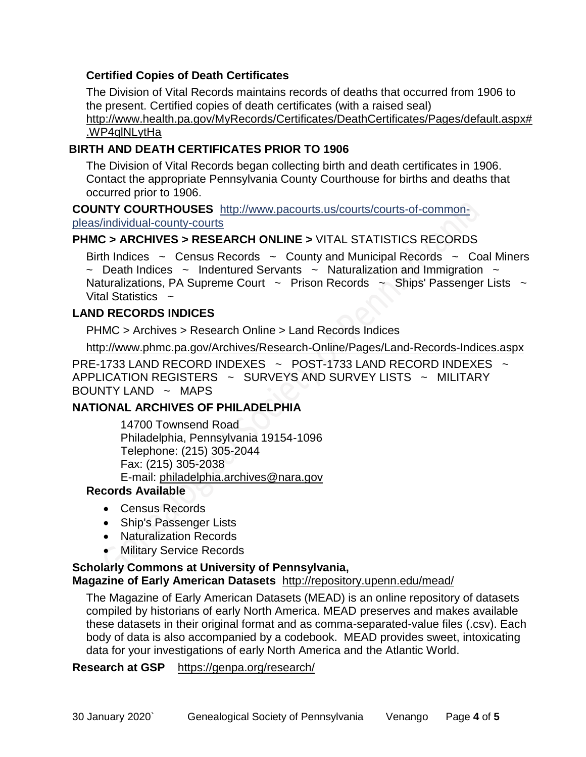## **Certified Copies of Death Certificates**

The Division of Vital Records maintains records of deaths that occurred from 1906 to the present. Certified copies of death certificates (with a raised seal) http://www.health.pa.gov/MyRecords/Certificates/DeathCertificates/Pages/default.aspx# .WP4qlNLytHa

#### **BIRTH AND DEATH CERTIFICATES PRIOR TO 1906**

The Division of Vital Records began collecting birth and death certificates in 1906. Contact the appropriate Pennsylvania County Courthouse for births and deaths that occurred prior to 1906.

**COUNTY COURTHOUSES** [http://www.pacourts.us/courts/courts-of-common](http://www.pacourts.us/courts/courts-of-common-pleas/individual-county-courts)[pleas/individual-county-courts](http://www.pacourts.us/courts/courts-of-common-pleas/individual-county-courts)

#### **PHMC > ARCHIVES > RESEARCH ONLINE >** [VITAL STATISTICS RECORDS](http://www.phmc.pa.gov/Archives/Research-Online/Pages/Vital-Statistics.aspx)

Birth Indices  $\sim$  Census Records  $\sim$  County and Municipal Records  $\sim$  Coal Miners  $\sim$  Death Indices  $\sim$  Indentured Servants  $\sim$  Naturalization and Immigration  $\sim$ Naturalizations, PA Supreme Court  $\sim$  Prison Records  $\sim$  Ships' Passenger Lists  $\sim$ Vital Statistics  $\sim$ 

#### **LAND RECORDS INDICES**

PHMC > Archives > Research Online > Land Records Indices

<http://www.phmc.pa.gov/Archives/Research-Online/Pages/Land-Records-Indices.aspx>

PRE-1733 LAND RECORD INDEXES ~ POST-1733 LAND RECORD INDEXES ~ APPLICATION REGISTERS ~ SURVEYS AND SURVEY LISTS ~ MILITARY BOUNTY LAND  $\sim$  MAPS

#### **NATIONAL ARCHIVES OF PHILADELPHIA**

14700 Townsend Road Philadelphia, Pennsylvania 19154-1096 Telephone: (215) 305-2044 Fax: (215) 305-2038 E-mail: [philadelphia.archives@nara.gov](mailto:philadelphia.archives@nara.gov)

# **Records Available**

- Census Records
- Ship's Passenger Lists
- Naturalization Records
- Military Service Records

#### **Scholarly Commons at University of Pennsylvania,**

#### **Magazine of Early American Datasets** <http://repository.upenn.edu/mead/>

The Magazine of Early American Datasets (MEAD) is an online repository of datasets compiled by historians of early North America. MEAD preserves and makes available these datasets in their original format and as comma-separated-value files (.csv). Each body of data is also accompanied by a codebook. MEAD provides sweet, intoxicating data for your investigations of early North America and the Atlantic World.

**Research at GSP** <https://genpa.org/research/>